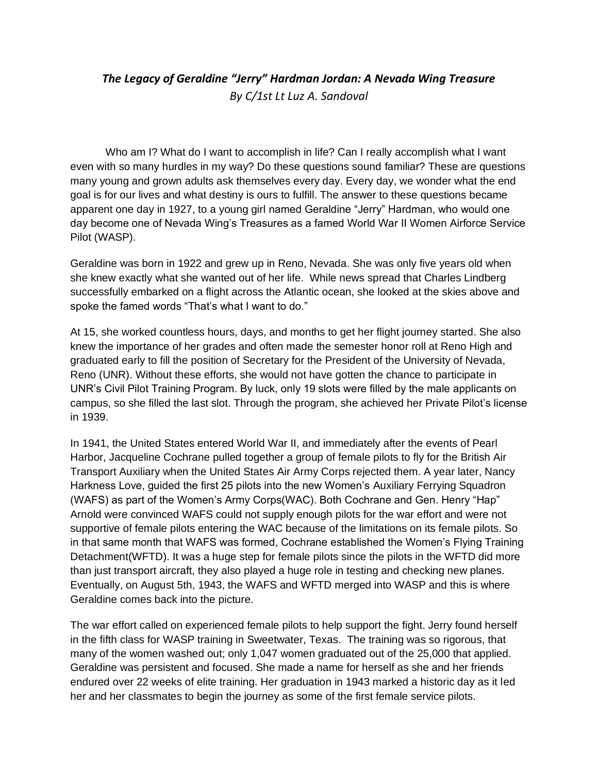## *The Legacy of Geraldine "Jerry" Hardman Jordan: A Nevada Wing Treasure By C/1st Lt Luz A. Sandoval*

Who am I? What do I want to accomplish in life? Can I really accomplish what I want even with so many hurdles in my way? Do these questions sound familiar? These are questions many young and grown adults ask themselves every day. Every day, we wonder what the end goal is for our lives and what destiny is ours to fulfill. The answer to these questions became apparent one day in 1927, to a young girl named Geraldine "Jerry" Hardman, who would one day become one of Nevada Wing's Treasures as a famed World War II Women Airforce Service Pilot (WASP).

Geraldine was born in 1922 and grew up in Reno, Nevada. She was only five years old when she knew exactly what she wanted out of her life. While news spread that Charles Lindberg successfully embarked on a flight across the Atlantic ocean, she looked at the skies above and spoke the famed words "That's what I want to do."

At 15, she worked countless hours, days, and months to get her flight journey started. She also knew the importance of her grades and often made the semester honor roll at Reno High and graduated early to fill the position of Secretary for the President of the University of Nevada, Reno (UNR). Without these efforts, she would not have gotten the chance to participate in UNR's Civil Pilot Training Program. By luck, only 19 slots were filled by the male applicants on campus, so she filled the last slot. Through the program, she achieved her Private Pilot's license in 1939.

In 1941, the United States entered World War II, and immediately after the events of Pearl Harbor, Jacqueline Cochrane pulled together a group of female pilots to fly for the British Air Transport Auxiliary when the United States Air Army Corps rejected them. A year later, Nancy Harkness Love, guided the first 25 pilots into the new Women's Auxiliary Ferrying Squadron (WAFS) as part of the Women's Army Corps(WAC). Both Cochrane and Gen. Henry "Hap" Arnold were convinced WAFS could not supply enough pilots for the war effort and were not supportive of female pilots entering the WAC because of the limitations on its female pilots. So in that same month that WAFS was formed, Cochrane established the Women's Flying Training Detachment(WFTD). It was a huge step for female pilots since the pilots in the WFTD did more than just transport aircraft, they also played a huge role in testing and checking new planes. Eventually, on August 5th, 1943, the WAFS and WFTD merged into WASP and this is where Geraldine comes back into the picture.

The war effort called on experienced female pilots to help support the fight. Jerry found herself in the fifth class for WASP training in Sweetwater, Texas. The training was so rigorous, that many of the women washed out; only 1,047 women graduated out of the 25,000 that applied. Geraldine was persistent and focused. She made a name for herself as she and her friends endured over 22 weeks of elite training. Her graduation in 1943 marked a historic day as it led her and her classmates to begin the journey as some of the first female service pilots.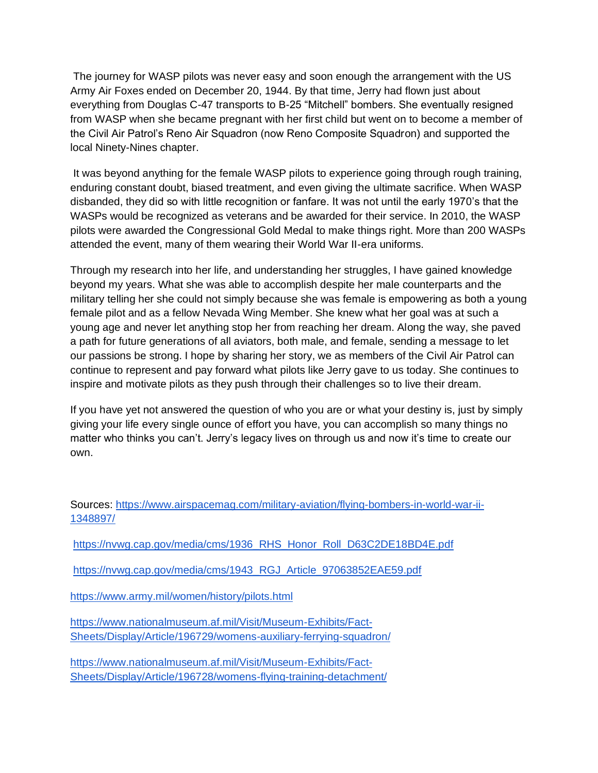The journey for WASP pilots was never easy and soon enough the arrangement with the US Army Air Foxes ended on December 20, 1944. By that time, Jerry had flown just about everything from Douglas C-47 transports to B-25 "Mitchell" bombers. She eventually resigned from WASP when she became pregnant with her first child but went on to become a member of the Civil Air Patrol's Reno Air Squadron (now Reno Composite Squadron) and supported the local Ninety-Nines chapter.

It was beyond anything for the female WASP pilots to experience going through rough training, enduring constant doubt, biased treatment, and even giving the ultimate sacrifice. When WASP disbanded, they did so with little recognition or fanfare. It was not until the early 1970's that the WASPs would be recognized as veterans and be awarded for their service. In 2010, the WASP pilots were awarded the Congressional Gold Medal to make things right. More than 200 WASPs attended the event, many of them wearing their World War II-era uniforms.

Through my research into her life, and understanding her struggles, I have gained knowledge beyond my years. What she was able to accomplish despite her male counterparts and the military telling her she could not simply because she was female is empowering as both a young female pilot and as a fellow Nevada Wing Member. She knew what her goal was at such a young age and never let anything stop her from reaching her dream. Along the way, she paved a path for future generations of all aviators, both male, and female, sending a message to let our passions be strong. I hope by sharing her story, we as members of the Civil Air Patrol can continue to represent and pay forward what pilots like Jerry gave to us today. She continues to inspire and motivate pilots as they push through their challenges so to live their dream.

If you have yet not answered the question of who you are or what your destiny is, just by simply giving your life every single ounce of effort you have, you can accomplish so many things no matter who thinks you can't. Jerry's legacy lives on through us and now it's time to create our own.

Sources[:](https://www.airspacemag.com/military-aviation/flying-bombers-in-world-war-ii-1348897/) [https://www.airspacemag.com/military-aviation/flying-bombers-in-world-war-ii-](https://www.airspacemag.com/military-aviation/flying-bombers-in-world-war-ii-1348897/)[1348897/](https://www.airspacemag.com/military-aviation/flying-bombers-in-world-war-ii-1348897/)

[https://nvwg.cap.gov/media/cms/1936\\_RHS\\_Honor\\_Roll\\_D63C2DE18BD4E.pdf](https://nvwg.cap.gov/media/cms/1936_RHS_Honor_Roll_D63C2DE18BD4E.pdf)

[https://nvwg.cap.gov/media/cms/1943\\_RGJ\\_Article\\_97063852EAE59.pdf](https://nvwg.cap.gov/media/cms/1943_RGJ_Article_97063852EAE59.pdf)

<https://www.army.mil/women/history/pilots.html>

[https://www.nationalmuseum.af.mil/Visit/Museum-Exhibits/Fact-](https://www.nationalmuseum.af.mil/Visit/Museum-Exhibits/Fact-Sheets/Display/Article/196729/womens-auxiliary-ferrying-squadron/)[Sheets/Display/Article/196729/womens-auxiliary-ferrying-squadron/](https://www.nationalmuseum.af.mil/Visit/Museum-Exhibits/Fact-Sheets/Display/Article/196729/womens-auxiliary-ferrying-squadron/)

[https://www.nationalmuseum.af.mil/Visit/Museum-Exhibits/Fact-](https://www.nationalmuseum.af.mil/Visit/Museum-Exhibits/Fact-Sheets/Display/Article/196728/womens-flying-training-detachment/)[Sheets/Display/Article/196728/womens-flying-training-detachment/](https://www.nationalmuseum.af.mil/Visit/Museum-Exhibits/Fact-Sheets/Display/Article/196728/womens-flying-training-detachment/)